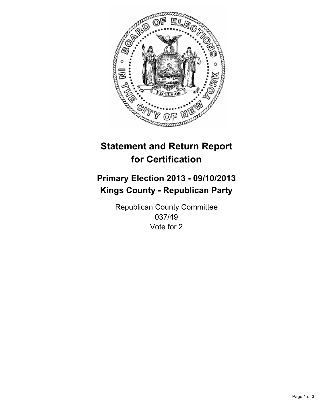

# **Statement and Return Report for Certification**

## **Primary Election 2013 - 09/10/2013 Kings County - Republican Party**

Republican County Committee 037/49 Vote for 2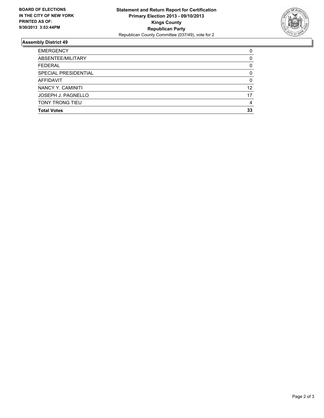

### **Assembly District 49**

| <b>EMERGENCY</b>       | 0  |
|------------------------|----|
| ABSENTEE/MILITARY      | 0  |
| <b>FEDERAL</b>         | 0  |
| SPECIAL PRESIDENTIAL   | 0  |
| <b>AFFIDAVIT</b>       | 0  |
| NANCY Y. CAMINITI      | 12 |
| JOSEPH J. PAGNELLO     | 17 |
| <b>TONY TRONG TIEU</b> | 4  |
| <b>Total Votes</b>     | 33 |